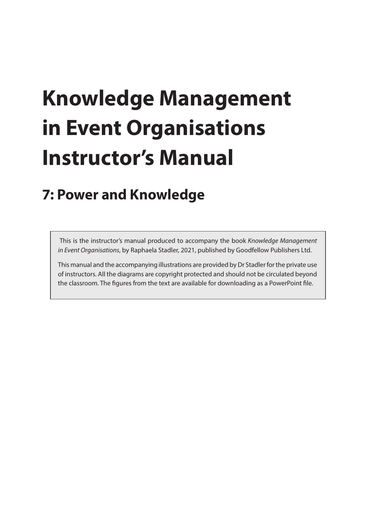# **Knowledge Management in Event Organisations Instructor's Manual**

# **7: Power and Knowledge**

 This is the instructor's manual produced to accompany the book *Knowledge Management in Event Organisations*, by Raphaela Stadler, 2021, published by Goodfellow Publishers Ltd.

This manual and the accompanying illustrations are provided by Dr Stadler for the private use of instructors. All the diagrams are copyright protected and should not be circulated beyond the classroom. The figures from the text are available for downloading as a PowerPoint file.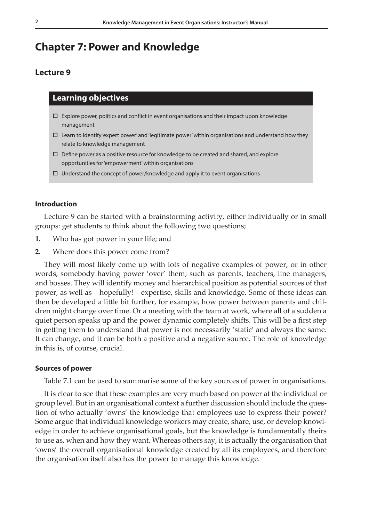# **Chapter 7: Power and Knowledge**

# **Lecture 9**

# **Learning objectives**

- $\Box$  Explore power, politics and conflict in event organisations and their impact upon knowledge management
- $\Box$  Learn to identify 'expert power' and 'legitimate power' within organisations and understand how they relate to knowledge management
- $\Box$  Define power as a positive resource for knowledge to be created and shared, and explore opportunities for 'empowerment' within organisations
- $\Box$  Understand the concept of power/knowledge and apply it to event organisations

#### **Introduction**

Lecture 9 can be started with a brainstorming activity, either individually or in small groups: get students to think about the following two questions;

- **1.** Who has got power in your life; and
- **2.** Where does this power come from?

They will most likely come up with lots of negative examples of power, or in other words, somebody having power 'over' them; such as parents, teachers, line managers, and bosses. They will identify money and hierarchical position as potential sources of that power, as well as – hopefully! – expertise, skills and knowledge. Some of these ideas can then be developed a little bit further, for example, how power between parents and children might change over time. Or a meeting with the team at work, where all of a sudden a quiet person speaks up and the power dynamic completely shifts. This will be a first step in getting them to understand that power is not necessarily 'static' and always the same. It can change, and it can be both a positive and a negative source. The role of knowledge in this is, of course, crucial.

#### **Sources of power**

Table 7.1 can be used to summarise some of the key sources of power in organisations.

It is clear to see that these examples are very much based on power at the individual or group level. But in an organisational context a further discussion should include the question of who actually 'owns' the knowledge that employees use to express their power? Some argue that individual knowledge workers may create, share, use, or develop knowledge in order to achieve organisational goals, but the knowledge is fundamentally theirs to use as, when and how they want. Whereas others say, it is actually the organisation that 'owns' the overall organisational knowledge created by all its employees, and therefore the organisation itself also has the power to manage this knowledge.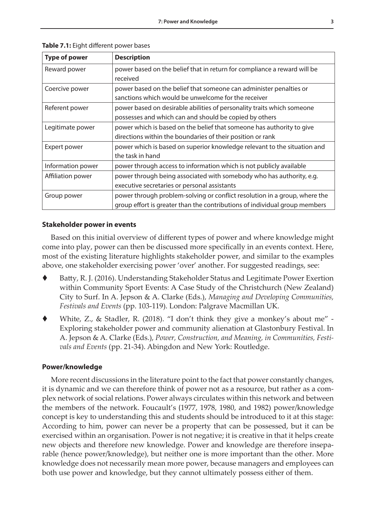| <b>Type of power</b> | <b>Description</b>                                                         |
|----------------------|----------------------------------------------------------------------------|
| Reward power         | power based on the belief that in return for compliance a reward will be   |
|                      | received                                                                   |
| Coercive power       | power based on the belief that someone can administer penalties or         |
|                      | sanctions which would be unwelcome for the receiver                        |
| Referent power       | power based on desirable abilities of personality traits which someone     |
|                      | possesses and which can and should be copied by others                     |
| Legitimate power     | power which is based on the belief that someone has authority to give      |
|                      | directions within the boundaries of their position or rank                 |
| Expert power         | power which is based on superior knowledge relevant to the situation and   |
|                      | the task in hand                                                           |
| Information power    | power through access to information which is not publicly available        |
| Affiliation power    | power through being associated with somebody who has authority, e.g.       |
|                      | executive secretaries or personal assistants                               |
| Group power          | power through problem-solving or conflict resolution in a group, where the |
|                      | group effort is greater than the contributions of individual group members |

**Table 7.1:** Eight different power bases

# **Stakeholder power in events**

Based on this initial overview of different types of power and where knowledge might come into play, power can then be discussed more specifically in an events context. Here, most of the existing literature highlights stakeholder power, and similar to the examples above, one stakeholder exercising power 'over' another. For suggested readings, see:

- Batty, R. J. (2016). Understanding Stakeholder Status and Legitimate Power Exertion within Community Sport Events: A Case Study of the Christchurch (New Zealand) City to Surf. In A. Jepson & A. Clarke (Eds.), *Managing and Developing Communities, Festivals and Events* (pp. 103-119). London: Palgrave Macmillan UK.
- White, Z., & Stadler, R. (2018). "I don't think they give a monkey's about me" Exploring stakeholder power and community alienation at Glastonbury Festival. In A. Jepson & A. Clarke (Eds.), *Power, Construction, and Meaning, in Communities, Festivals and Events* (pp. 21-34). Abingdon and New York: Routledge.

## **Power/knowledge**

More recent discussions in the literature point to the fact that power constantly changes, it is dynamic and we can therefore think of power not as a resource, but rather as a complex network of social relations. Power always circulates within this network and between the members of the network. Foucault's (1977, 1978, 1980, and 1982) power/knowledge concept is key to understanding this and students should be introduced to it at this stage: According to him, power can never be a property that can be possessed, but it can be exercised within an organisation. Power is not negative; it is creative in that it helps create new objects and therefore new knowledge. Power and knowledge are therefore inseparable (hence power/knowledge), but neither one is more important than the other. More knowledge does not necessarily mean more power, because managers and employees can both use power and knowledge, but they cannot ultimately possess either of them.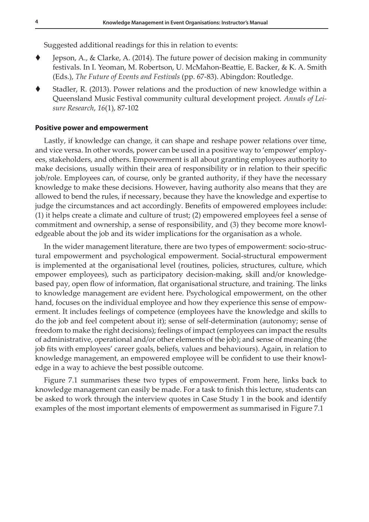Suggested additional readings for this in relation to events:

- Jepson, A., & Clarke, A. (2014). The future power of decision making in community festivals. In I. Yeoman, M. Robertson, U. McMahon-Beattie, E. Backer, & K. A. Smith (Eds.), *The Future of Events and Festivals* (pp. 67-83). Abingdon: Routledge.
- Stadler, R. (2013). Power relations and the production of new knowledge within a Queensland Music Festival community cultural development project. *Annals of Leisure Research*, *16*(1), 87-102

#### **Positive power and empowerment**

Lastly, if knowledge can change, it can shape and reshape power relations over time, and vice versa. In other words, power can be used in a positive way to 'empower' employees, stakeholders, and others. Empowerment is all about granting employees authority to make decisions, usually within their area of responsibility or in relation to their specific job/role. Employees can, of course, only be granted authority, if they have the necessary knowledge to make these decisions. However, having authority also means that they are allowed to bend the rules, if necessary, because they have the knowledge and expertise to judge the circumstances and act accordingly. Benefits of empowered employees include: (1) it helps create a climate and culture of trust; (2) empowered employees feel a sense of commitment and ownership, a sense of responsibility, and (3) they become more knowledgeable about the job and its wider implications for the organisation as a whole.

In the wider management literature, there are two types of empowerment: socio-structural empowerment and psychological empowerment. Social-structural empowerment is implemented at the organisational level (routines, policies, structures, culture, which empower employees), such as participatory decision-making, skill and/or knowledgebased pay, open flow of information, flat organisational structure, and training. The links to knowledge management are evident here. Psychological empowerment, on the other hand, focuses on the individual employee and how they experience this sense of empowerment. It includes feelings of competence (employees have the knowledge and skills to do the job and feel competent about it); sense of self-determination (autonomy; sense of freedom to make the right decisions); feelings of impact (employees can impact the results of administrative, operational and/or other elements of the job); and sense of meaning (the job fits with employees' career goals, beliefs, values and behaviours). Again, in relation to knowledge management, an empowered employee will be confident to use their knowledge in a way to achieve the best possible outcome.

Figure 7.1 summarises these two types of empowerment. From here, links back to knowledge management can easily be made. For a task to finish this lecture, students can be asked to work through the interview quotes in Case Study 1 in the book and identify examples of the most important elements of empowerment as summarised in Figure 7.1